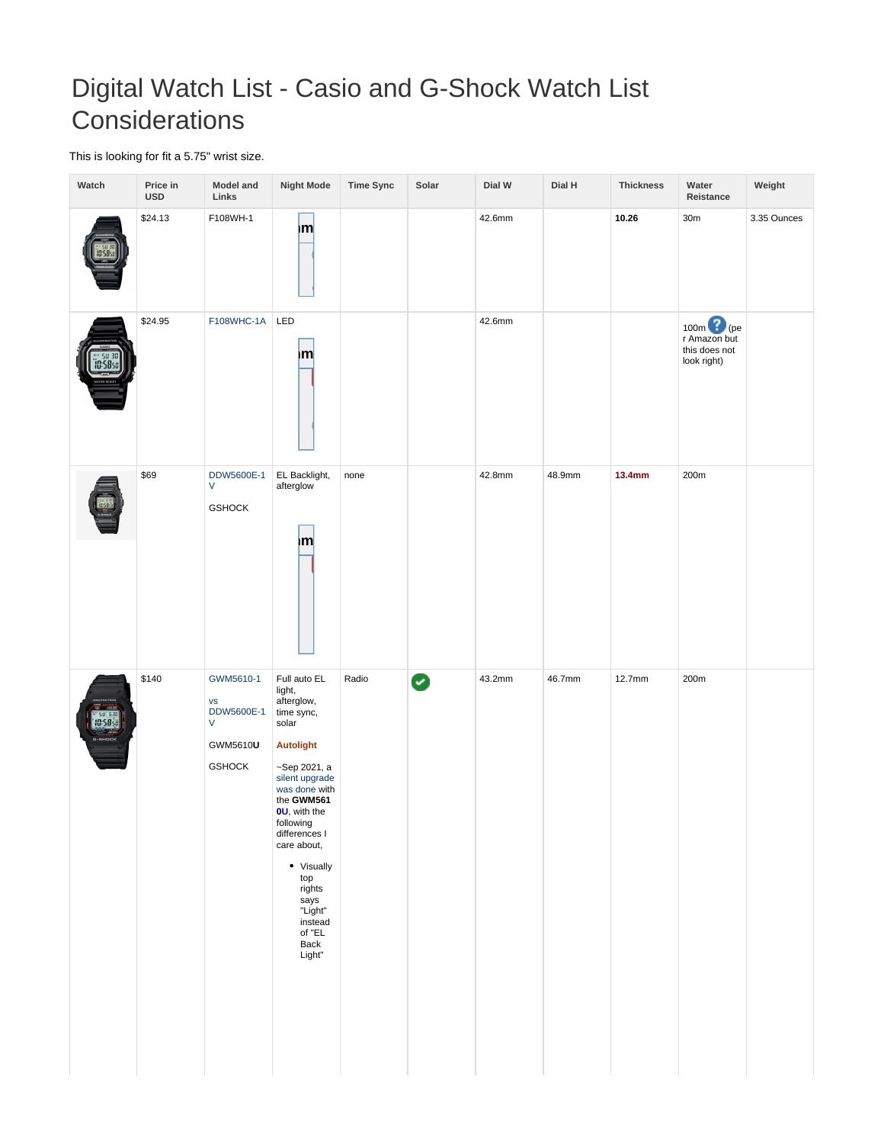## Digital Watch List - Casio and G-Shock Watch List **Considerations**

This is looking for fit a 5.75" wrist size.

| Watch                              | Price in<br><b>USD</b> | <b>Model and</b><br>Links                                                             | <b>Night Mode</b>                                                                                                                                                                                                                                                                                    | <b>Time Sync</b> | Solar | Dial W | Dial H | <b>Thickness</b> | Water<br>Reistance                                                    | Weight      |
|------------------------------------|------------------------|---------------------------------------------------------------------------------------|------------------------------------------------------------------------------------------------------------------------------------------------------------------------------------------------------------------------------------------------------------------------------------------------------|------------------|-------|--------|--------|------------------|-----------------------------------------------------------------------|-------------|
|                                    | \$24.13                | F108WH-1                                                                              | m                                                                                                                                                                                                                                                                                                    |                  |       | 42.6mm |        | 10.26            | 30 <sub>m</sub>                                                       | 3.35 Ounces |
| 58                                 | \$24.95                | F108WHC-1A LED                                                                        | Ιm                                                                                                                                                                                                                                                                                                   |                  |       | 42.6mm |        |                  | 100m <sup>2</sup> (pe<br>r Amazon but<br>this does not<br>look right) |             |
|                                    | \$69                   | DDW5600E-1<br>V<br><b>GSHOCK</b>                                                      | EL Backlight,<br>afterglow<br> m                                                                                                                                                                                                                                                                     | none             |       | 42.8mm | 48.9mm | 13.4mm           | 200m                                                                  |             |
| <sup>ar sul 630</sup><br>[10:5830] | \$140                  | GWM5610-1<br>$\mathsf{VS}$<br>DDW5600E-1<br>$\mathsf{V}$<br>GWM5610U<br><b>GSHOCK</b> | Full auto EL<br>light,<br>afterglow,<br>time sync,<br>solar<br>Autolight<br>~Sep 2021, a<br>silent upgrade<br>was done with<br>the GWM561<br>$0U$ , with the<br>following<br>differences I<br>care about,<br>• Visually<br>top<br>rights<br>says<br>"Light"<br>instead<br>of $"EL$<br>Back<br>Light" | Radio            | Ø     | 43.2mm | 46.7mm | 12.7mm           | 200m                                                                  |             |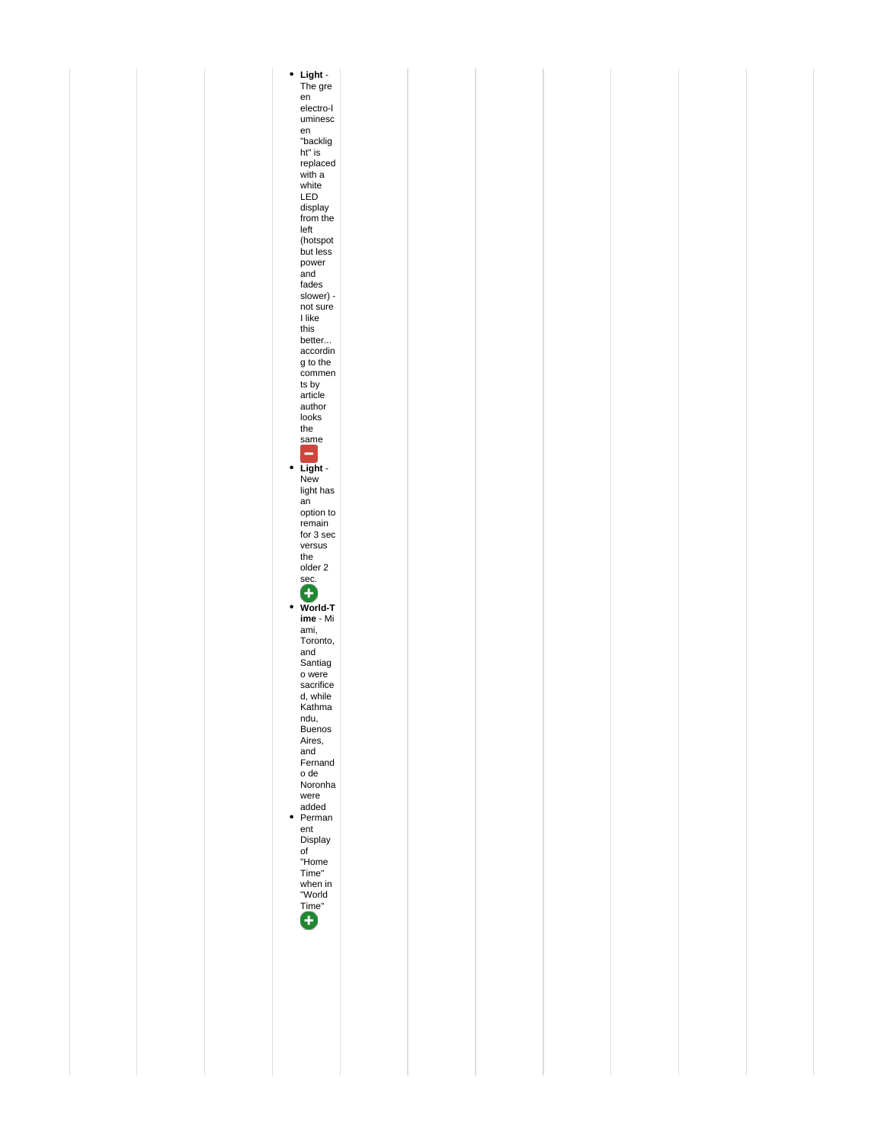**Light** - The gre en electro-l uminesc en "backlig ht" is replaced with a white LED display from the left (hotspot but less power and fades slower) - not sure I like this better... accordin g to the commen ts by article author looks the same **Light** - New light has an option to remain for 3 sec versus the older 2 sec. **World-T ime** - Mi ami, Toronto, and Santiag o were sacrifice d, while Kathma ndu, Buenos Aires, and Fernand o de Noronha were added Perman ent Display of "Home Time" when in "World Time"